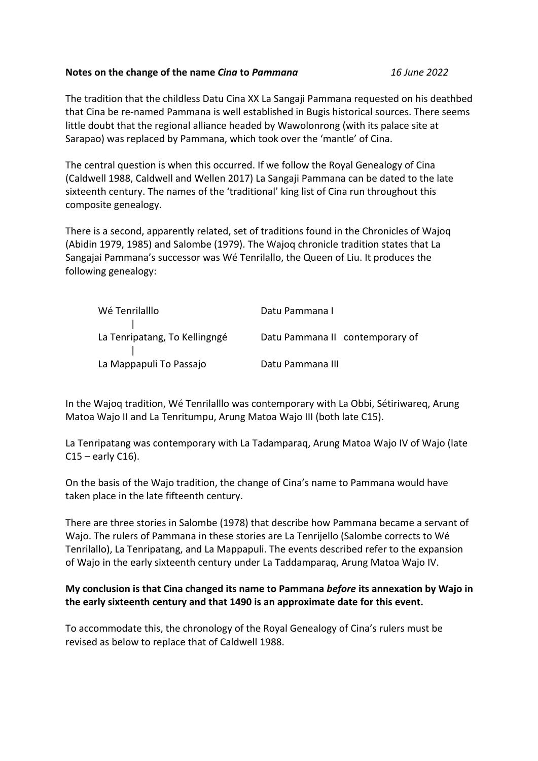## **Notes on the change of the name** *Cina* **to** *Pammana 16 June 2022*

The tradition that the childless Datu Cina XX La Sangaji Pammana requested on his deathbed that Cina be re-named Pammana is well established in Bugis historical sources. There seems little doubt that the regional alliance headed by Wawolonrong (with its palace site at Sarapao) was replaced by Pammana, which took over the 'mantle' of Cina.

The central question is when this occurred. If we follow the Royal Genealogy of Cina (Caldwell 1988, Caldwell and Wellen 2017) La Sangaji Pammana can be dated to the late sixteenth century. The names of the 'traditional' king list of Cina run throughout this composite genealogy.

There is a second, apparently related, set of traditions found in the Chronicles of Wajoq (Abidin 1979, 1985) and Salombe (1979). The Wajoq chronicle tradition states that La Sangajai Pammana's successor was Wé Tenrilallo, the Queen of Liu. It produces the following genealogy:

| Wé Tenrilalllo                | Datu Pammana I                  |
|-------------------------------|---------------------------------|
| La Tenripatang, To Kellingngé | Datu Pammana II contemporary of |
| La Mappapuli To Passajo       | Datu Pammana III                |

In the Wajoq tradition, Wé Tenrilalllo was contemporary with La Obbi, Sétiriwareq, Arung Matoa Wajo II and La Tenritumpu, Arung Matoa Wajo III (both late C15).

La Tenripatang was contemporary with La Tadamparaq, Arung Matoa Wajo IV of Wajo (late  $C15$  – early  $C16$ ).

On the basis of the Wajo tradition, the change of Cina's name to Pammana would have taken place in the late fifteenth century.

There are three stories in Salombe (1978) that describe how Pammana became a servant of Wajo. The rulers of Pammana in these stories are La Tenrijello (Salombe corrects to Wé Tenrilallo), La Tenripatang, and La Mappapuli. The events described refer to the expansion of Wajo in the early sixteenth century under La Taddamparaq, Arung Matoa Wajo IV.

## **My conclusion is that Cina changed its name to Pammana** *before* **its annexation by Wajo in the early sixteenth century and that 1490 is an approximate date for this event.**

To accommodate this, the chronology of the Royal Genealogy of Cina's rulers must be revised as below to replace that of Caldwell 1988.